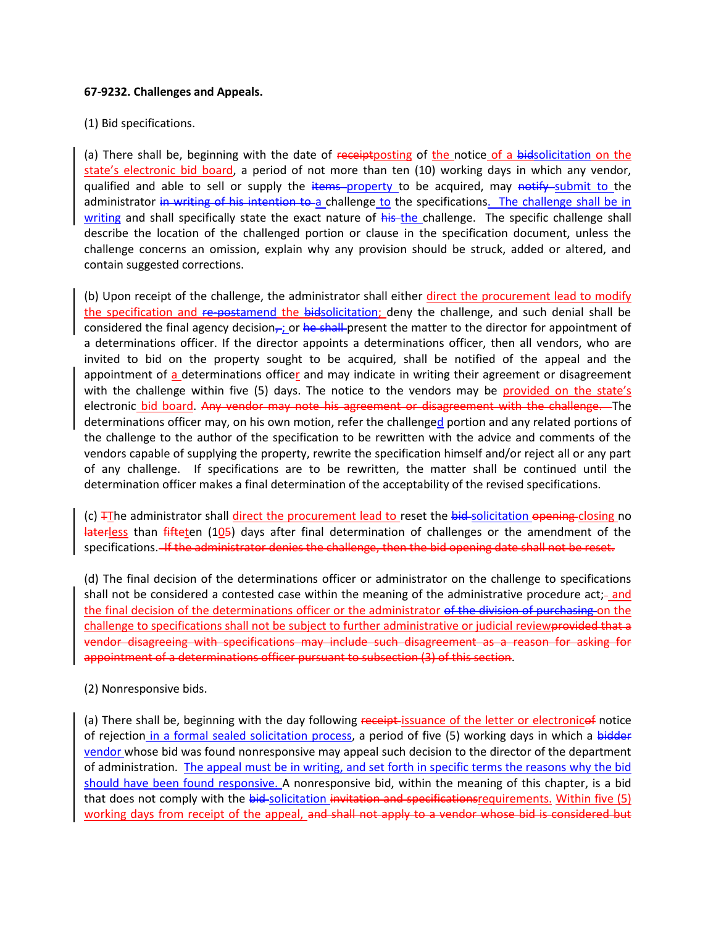## **67-9232. Challenges and Appeals.**

(1) Bid specifications.

(a) There shall be, beginning with the date of receipt posting of the notice of a bidsolicitation on the state's electronic bid board, a period of not more than ten (10) working days in which any vendor, qualified and able to sell or supply the items property to be acquired, may notify submit to the administrator in writing of his intention to a challenge to the specifications. The challenge shall be in writing and shall specifically state the exact nature of his the challenge. The specific challenge shall describe the location of the challenged portion or clause in the specification document, unless the challenge concerns an omission, explain why any provision should be struck, added or altered, and contain suggested corrections.

(b) Upon receipt of the challenge, the administrator shall either direct the procurement lead to modify the specification and re-postamend the bidsolicitation; deny the challenge, and such denial shall be considered the final agency decision<sub>,-i</sub> or he shall present the matter to the director for appointment of a determinations officer. If the director appoints a determinations officer, then all vendors, who are invited to bid on the property sought to be acquired, shall be notified of the appeal and the appointment of a determinations officer and may indicate in writing their agreement or disagreement with the challenge within five  $(5)$  days. The notice to the vendors may be provided on the state's electronic bid board. Any vendor may note his agreement or disagreement with the challenge. The determinations officer may, on his own motion, refer the challenged portion and any related portions of the challenge to the author of the specification to be rewritten with the advice and comments of the vendors capable of supplying the property, rewrite the specification himself and/or reject all or any part of any challenge. If specifications are to be rewritten, the matter shall be continued until the determination officer makes a final determination of the acceptability of the revised specifications.

(c)  $\overline{f}$ The administrator shall direct the procurement lead to reset the bid-solicitation opening closing no laterless than fifteten (105) days after final determination of challenges or the amendment of the specifications. If the administrator denies the challenge, then the bid opening date shall not be reset.

(d) The final decision of the determinations officer or administrator on the challenge to specifications shall not be considered a contested case within the meaning of the administrative procedure act;-and the final decision of the determinations officer or the administrator of the division of purchasing on the challenge to specifications shall not be subject to further administrative or judicial reviewprovided that a vendor disagreeing with specifications may include such disagreement as a reason for asking for appointment of a determinations officer pursuant to subsection (3) of this section.

## (2) Nonresponsive bids.

(a) There shall be, beginning with the day following receipt issuance of the letter or electronicef notice of rejection in a formal sealed solicitation process, a period of five (5) working days in which a bidder vendor whose bid was found nonresponsive may appeal such decision to the director of the department of administration. The appeal must be in writing, and set forth in specific terms the reasons why the bid should have been found responsive. A nonresponsive bid, within the meaning of this chapter, is a bid that does not comply with the bid-solicitation invitation and specifications requirements. Within five (5) working days from receipt of the appeal, and shall not apply to a vendor whose bid is considered but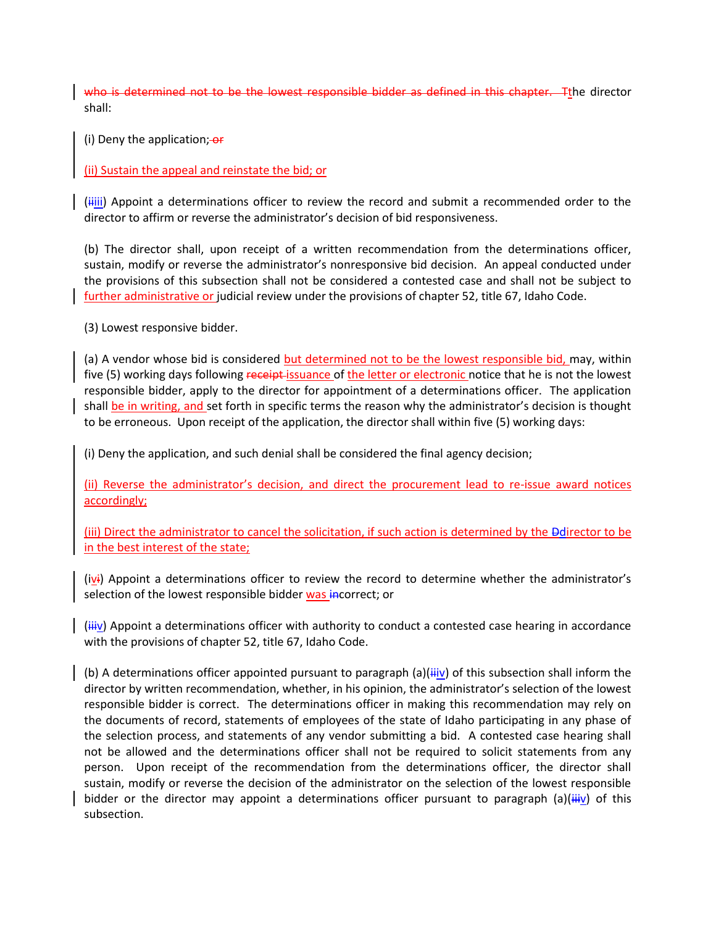who is determined not to be the lowest responsible bidder as defined in this chapter. The director shall:

(i) Deny the application;  $-$ 

## (ii) Sustain the appeal and reinstate the bid; or

 $\frac{1}{2}$  (iiii) Appoint a determinations officer to review the record and submit a recommended order to the director to affirm or reverse the administrator's decision of bid responsiveness.

(b) The director shall, upon receipt of a written recommendation from the determinations officer, sustain, modify or reverse the administrator's nonresponsive bid decision. An appeal conducted under the provisions of this subsection shall not be considered a contested case and shall not be subject to further administrative or judicial review under the provisions of chapter 52, title 67, Idaho Code.

(3) Lowest responsive bidder.

(a) A vendor whose bid is considered but determined not to be the lowest responsible bid, may, within five (5) working days following receipt-issuance of the letter or electronic notice that he is not the lowest responsible bidder, apply to the director for appointment of a determinations officer. The application shall be in writing, and set forth in specific terms the reason why the administrator's decision is thought to be erroneous. Upon receipt of the application, the director shall within five (5) working days:

(i) Deny the application, and such denial shall be considered the final agency decision;

(ii) Reverse the administrator's decision, and direct the procurement lead to re-issue award notices accordingly;

(iii) Direct the administrator to cancel the solicitation, if such action is determined by the Ddirector to be in the best interest of the state;

(ivi) Appoint a determinations officer to review the record to determine whether the administrator's selection of the lowest responsible bidder was incorrect; or

 $(iiiv)$  Appoint a determinations officer with authority to conduct a contested case hearing in accordance with the provisions of chapter 52, title 67, Idaho Code.

(b) A determinations officer appointed pursuant to paragraph (a)( $\overline{iiiv}$ ) of this subsection shall inform the director by written recommendation, whether, in his opinion, the administrator's selection of the lowest responsible bidder is correct. The determinations officer in making this recommendation may rely on the documents of record, statements of employees of the state of Idaho participating in any phase of the selection process, and statements of any vendor submitting a bid. A contested case hearing shall not be allowed and the determinations officer shall not be required to solicit statements from any person. Upon receipt of the recommendation from the determinations officer, the director shall sustain, modify or reverse the decision of the administrator on the selection of the lowest responsible bidder or the director may appoint a determinations officer pursuant to paragraph (a)( $\ddot{u}$ iv) of this subsection.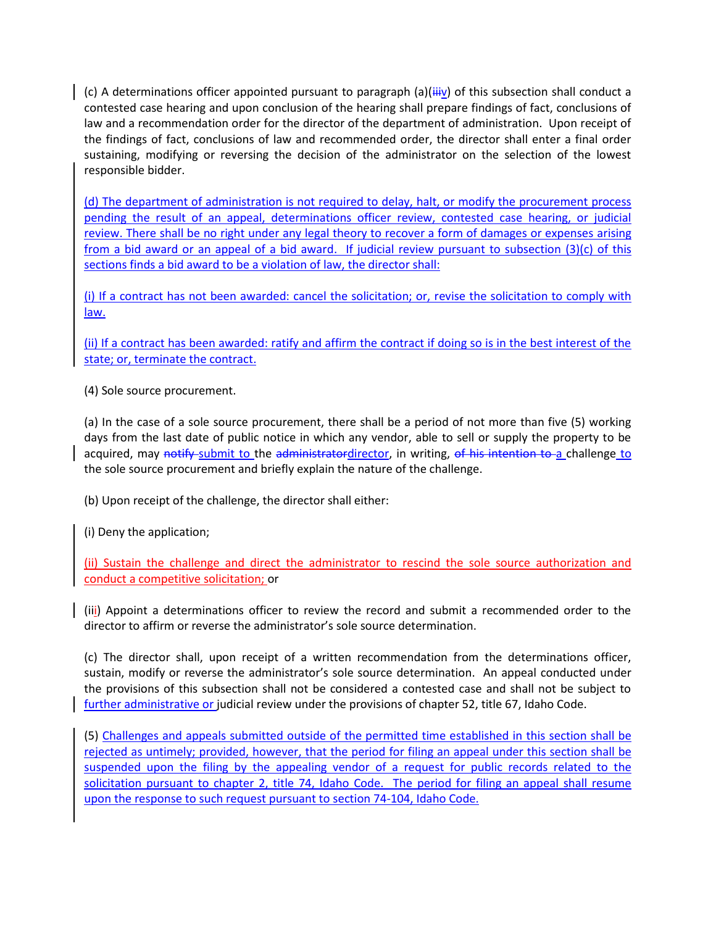(c) A determinations officer appointed pursuant to paragraph (a)( $\frac{1}{1+i}$ ) of this subsection shall conduct a contested case hearing and upon conclusion of the hearing shall prepare findings of fact, conclusions of law and a recommendation order for the director of the department of administration. Upon receipt of the findings of fact, conclusions of law and recommended order, the director shall enter a final order sustaining, modifying or reversing the decision of the administrator on the selection of the lowest responsible bidder.

(d) The department of administration is not required to delay, halt, or modify the procurement process pending the result of an appeal, determinations officer review, contested case hearing, or judicial review. There shall be no right under any legal theory to recover a form of damages or expenses arising from a bid award or an appeal of a bid award. If judicial review pursuant to subsection (3)(c) of this sections finds a bid award to be a violation of law, the director shall:

(i) If a contract has not been awarded: cancel the solicitation; or, revise the solicitation to comply with law.

(ii) If a contract has been awarded: ratify and affirm the contract if doing so is in the best interest of the state; or, terminate the contract.

(4) Sole source procurement.

(a) In the case of a sole source procurement, there shall be a period of not more than five (5) working days from the last date of public notice in which any vendor, able to sell or supply the property to be acquired, may notify submit to the administratordirector, in writing, of his intention to a challenge to the sole source procurement and briefly explain the nature of the challenge.

(b) Upon receipt of the challenge, the director shall either:

(i) Deny the application;

(ii) Sustain the challenge and direct the administrator to rescind the sole source authorization and conduct a competitive solicitation; or

(iii) Appoint a determinations officer to review the record and submit a recommended order to the director to affirm or reverse the administrator's sole source determination.

(c) The director shall, upon receipt of a written recommendation from the determinations officer, sustain, modify or reverse the administrator's sole source determination. An appeal conducted under the provisions of this subsection shall not be considered a contested case and shall not be subject to further administrative or judicial review under the provisions of chapter 52, title 67, Idaho Code.

(5) Challenges and appeals submitted outside of the permitted time established in this section shall be rejected as untimely; provided, however, that the period for filing an appeal under this section shall be suspended upon the filing by the appealing vendor of a request for public records related to the solicitation pursuant to chapter 2, title 74, Idaho Code. The period for filing an appeal shall resume upon the response to such request pursuant to section 74-104, Idaho Code.